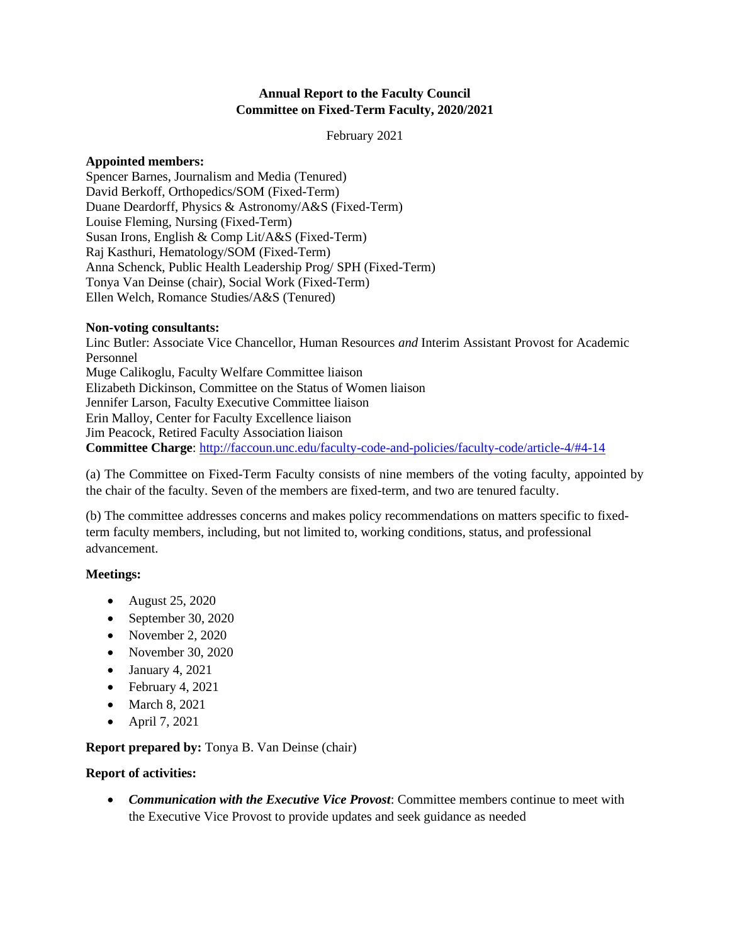#### **Annual Report to the Faculty Council Committee on Fixed-Term Faculty, 2020/2021**

February 2021

#### **Appointed members:**

Spencer Barnes, Journalism and Media (Tenured) David Berkoff, Orthopedics/SOM (Fixed-Term) Duane Deardorff, Physics & Astronomy/A&S (Fixed-Term) Louise Fleming, Nursing (Fixed-Term) Susan Irons, English & Comp Lit/A&S (Fixed-Term) Raj Kasthuri, Hematology/SOM (Fixed-Term) Anna Schenck, Public Health Leadership Prog/ SPH (Fixed-Term) Tonya Van Deinse (chair), Social Work (Fixed-Term) Ellen Welch, Romance Studies/A&S (Tenured)

#### **Non-voting consultants:**

Linc Butler: Associate Vice Chancellor, Human Resources *and* Interim Assistant Provost for Academic Personnel Muge Calikoglu, Faculty Welfare Committee liaison Elizabeth Dickinson, Committee on the Status of Women liaison Jennifer Larson, Faculty Executive Committee liaison Erin Malloy, Center for Faculty Excellence liaison Jim Peacock, Retired Faculty Association liaison **Committee Charge**:<http://faccoun.unc.edu/faculty-code-and-policies/faculty-code/article-4/#4-14>

(a) The Committee on Fixed-Term Faculty consists of nine members of the voting faculty, appointed by the chair of the faculty. Seven of the members are fixed-term, and two are tenured faculty.

(b) The committee addresses concerns and makes policy recommendations on matters specific to fixedterm faculty members, including, but not limited to, working conditions, status, and professional advancement.

# **Meetings:**

- August 25, 2020
- September 30, 2020
- November 2, 2020
- November 30, 2020
- January 4,  $2021$
- February 4, 2021
- March 8, 2021
- April 7, 2021

# **Report prepared by:** Tonya B. Van Deinse (chair)

# **Report of activities:**

• *Communication with the Executive Vice Provost*: Committee members continue to meet with the Executive Vice Provost to provide updates and seek guidance as needed